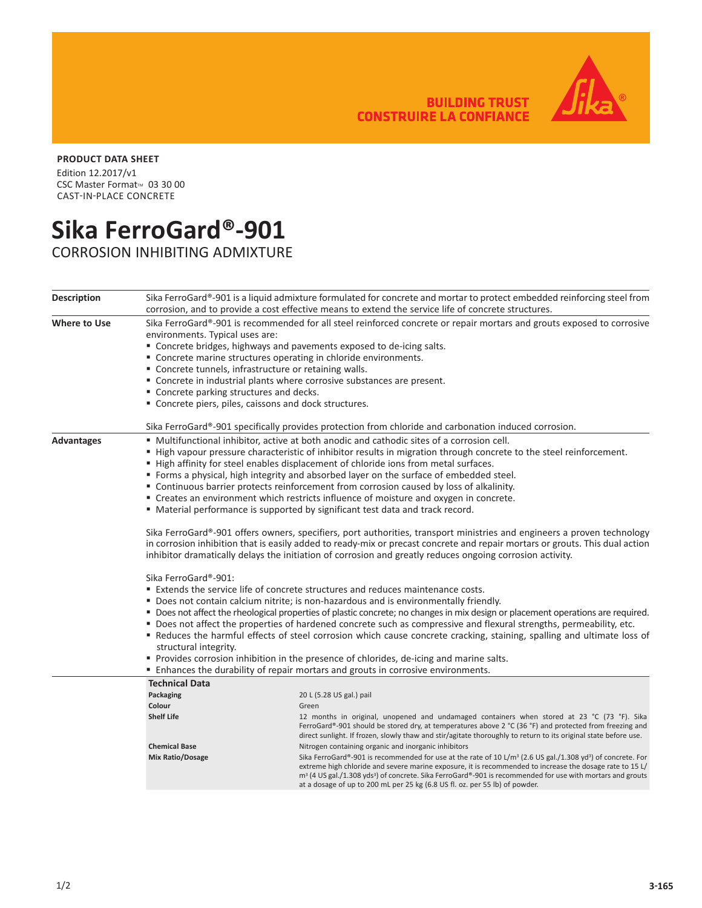**BUILDING TRUST<br>CONSTRUIRE LA CONFIANCE** 

## **PRODUCT DATA SHEET**

Edition 12.2017/v1 CSC Master Format™ 03 30 00 CAST-IN-PLACE CONCRETE

## **Sika FerroGard®-901**

CORROSION INHIBITING ADMIXTURE

| <b>Description</b>  |                                                                                                                                                                                                                                                                                                                                                                                                                                                                                                                                                                                                                                                                                                                                                                                                            | Sika FerroGard®-901 is a liquid admixture formulated for concrete and mortar to protect embedded reinforcing steel from<br>corrosion, and to provide a cost effective means to extend the service life of concrete structures.                                                                                                                                                                                                                                                                                                                                |  |  |
|---------------------|------------------------------------------------------------------------------------------------------------------------------------------------------------------------------------------------------------------------------------------------------------------------------------------------------------------------------------------------------------------------------------------------------------------------------------------------------------------------------------------------------------------------------------------------------------------------------------------------------------------------------------------------------------------------------------------------------------------------------------------------------------------------------------------------------------|---------------------------------------------------------------------------------------------------------------------------------------------------------------------------------------------------------------------------------------------------------------------------------------------------------------------------------------------------------------------------------------------------------------------------------------------------------------------------------------------------------------------------------------------------------------|--|--|
| <b>Where to Use</b> | Sika FerroGard®-901 is recommended for all steel reinforced concrete or repair mortars and grouts exposed to corrosive<br>environments. Typical uses are:<br>" Concrete bridges, highways and pavements exposed to de-icing salts.<br>" Concrete marine structures operating in chloride environments.<br>" Concrete tunnels, infrastructure or retaining walls.<br>" Concrete in industrial plants where corrosive substances are present.<br>" Concrete parking structures and decks.<br>" Concrete piers, piles, caissons and dock structures.                                                                                                                                                                                                                                                          |                                                                                                                                                                                                                                                                                                                                                                                                                                                                                                                                                               |  |  |
|                     |                                                                                                                                                                                                                                                                                                                                                                                                                                                                                                                                                                                                                                                                                                                                                                                                            | Sika FerroGard®-901 specifically provides protection from chloride and carbonation induced corrosion.                                                                                                                                                                                                                                                                                                                                                                                                                                                         |  |  |
| <b>Advantages</b>   | ■ Multifunctional inhibitor, active at both anodic and cathodic sites of a corrosion cell.<br>" High vapour pressure characteristic of inhibitor results in migration through concrete to the steel reinforcement.<br>■ High affinity for steel enables displacement of chloride ions from metal surfaces.<br>■ Forms a physical, high integrity and absorbed layer on the surface of embedded steel.<br>• Continuous barrier protects reinforcement from corrosion caused by loss of alkalinity.<br>" Creates an environment which restricts influence of moisture and oxygen in concrete.<br>■ Material performance is supported by significant test data and track record.                                                                                                                              |                                                                                                                                                                                                                                                                                                                                                                                                                                                                                                                                                               |  |  |
|                     | Sika FerroGard®-901 offers owners, specifiers, port authorities, transport ministries and engineers a proven technology<br>in corrosion inhibition that is easily added to ready-mix or precast concrete and repair mortars or grouts. This dual action<br>inhibitor dramatically delays the initiation of corrosion and greatly reduces ongoing corrosion activity.                                                                                                                                                                                                                                                                                                                                                                                                                                       |                                                                                                                                                                                                                                                                                                                                                                                                                                                                                                                                                               |  |  |
|                     | Sika FerroGard®-901:<br><b>Extends the service life of concrete structures and reduces maintenance costs.</b><br>" Does not contain calcium nitrite; is non-hazardous and is environmentally friendly.<br>■ Does not affect the rheological properties of plastic concrete; no changes in mix design or placement operations are required.<br>" Does not affect the properties of hardened concrete such as compressive and flexural strengths, permeability, etc.<br>" Reduces the harmful effects of steel corrosion which cause concrete cracking, staining, spalling and ultimate loss of<br>structural integrity.<br>Provides corrosion inhibition in the presence of chlorides, de-icing and marine salts.<br><b>Enhances the durability of repair mortars and grouts in corrosive environments.</b> |                                                                                                                                                                                                                                                                                                                                                                                                                                                                                                                                                               |  |  |
|                     | <b>Technical Data</b><br>Packaging<br>Colour<br><b>Shelf Life</b><br><b>Chemical Base</b><br>Mix Ratio/Dosage                                                                                                                                                                                                                                                                                                                                                                                                                                                                                                                                                                                                                                                                                              | 20 L (5.28 US gal.) pail<br>Green<br>12 months in original, unopened and undamaged containers when stored at 23 °C (73 °F). Sika<br>FerroGard®-901 should be stored dry, at temperatures above 2 °C (36 °F) and protected from freezing and<br>direct sunlight. If frozen, slowly thaw and stir/agitate thoroughly to return to its original state before use.<br>Nitrogen containing organic and inorganic inhibitors<br>Sika FerroGard®-901 is recommended for use at the rate of 10 L/m <sup>3</sup> (2.6 US gal./1.308 yd <sup>3</sup> ) of concrete. For |  |  |
|                     |                                                                                                                                                                                                                                                                                                                                                                                                                                                                                                                                                                                                                                                                                                                                                                                                            | extreme high chloride and severe marine exposure, it is recommended to increase the dosage rate to 15 L/<br>$m3$ (4 US gal./1.308 yds <sup>3</sup> ) of concrete. Sika FerroGard®-901 is recommended for use with mortars and grouts<br>at a dosage of up to 200 mL per 25 kg (6.8 US fl. oz. per 55 lb) of powder.                                                                                                                                                                                                                                           |  |  |